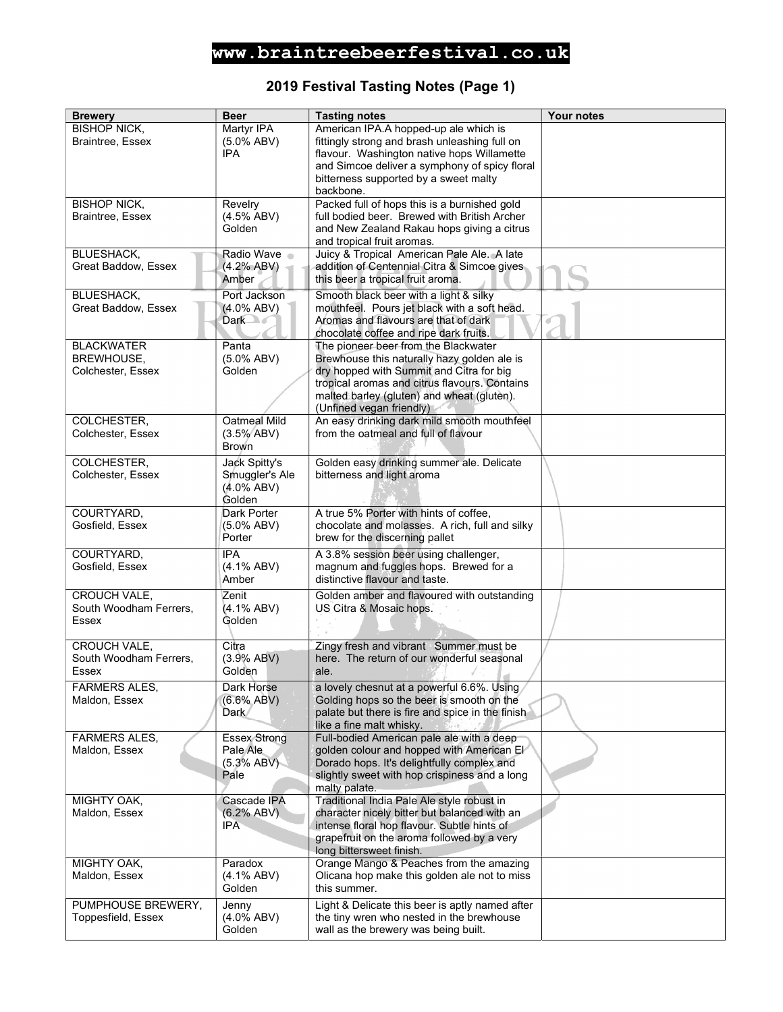### 2019 Festival Tasting Notes (Page 1)

| <b>Brewery</b>                                         | <b>Beer</b>                                                | <b>Tasting notes</b>                                                                                                                                                                                                                                       | <b>Your notes</b> |
|--------------------------------------------------------|------------------------------------------------------------|------------------------------------------------------------------------------------------------------------------------------------------------------------------------------------------------------------------------------------------------------------|-------------------|
| <b>BISHOP NICK,</b><br><b>Braintree, Essex</b>         | Martyr IPA<br>$(5.0\%$ ABV)<br><b>IPA</b>                  | American IPA.A hopped-up ale which is<br>fittingly strong and brash unleashing full on<br>flavour. Washington native hops Willamette<br>and Simcoe deliver a symphony of spicy floral<br>bitterness supported by a sweet malty<br>backbone.                |                   |
| <b>BISHOP NICK,</b><br>Braintree, Essex                | Revelry<br>$(4.5\%$ ABV)<br>Golden                         | Packed full of hops this is a burnished gold<br>full bodied beer. Brewed with British Archer<br>and New Zealand Rakau hops giving a citrus<br>and tropical fruit aromas.                                                                                   |                   |
| <b>BLUESHACK,</b><br>Great Baddow, Essex               | Radio Wave<br>(4.2% ABV)<br>Amber                          | Juicy & Tropical American Pale Ale. A late<br>addition of Centennial Citra & Simcoe gives<br>this beer a tropical fruit aroma.                                                                                                                             |                   |
| <b>BLUESHACK,</b><br>Great Baddow, Essex               | Port Jackson<br>$(4.0\%$ ABV)<br>Dark of                   | Smooth black beer with a light & silky<br>mouthfeel. Pours jet black with a soft head.<br>Aromas and flavours are that of dark<br>chocolate coffee and ripe dark fruits.                                                                                   |                   |
| <b>BLACKWATER</b><br>BREWHOUSE,<br>Colchester, Essex   | Panta<br>$(5.0\%$ ABV)<br>Golden                           | The pioneer beer from the Blackwater<br>Brewhouse this naturally hazy golden ale is<br>dry hopped with Summit and Citra for big<br>tropical aromas and citrus flavours. Contains<br>malted barley (gluten) and wheat (gluten).<br>(Unfined vegan friendly) |                   |
| COLCHESTER,<br>Colchester, Essex                       | Oatmeal Mild<br>$(3.5\%$ ABV)<br><b>Brown</b>              | An easy drinking dark mild smooth mouthfeel<br>from the oatmeal and full of flavour                                                                                                                                                                        |                   |
| <b>COLCHESTER,</b><br>Colchester, Essex                | Jack Spitty's<br>Smuggler's Ale<br>$(4.0\%$ ABV)<br>Golden | Golden easy drinking summer ale. Delicate<br>bitterness and light aroma                                                                                                                                                                                    |                   |
| COURTYARD,<br>Gosfield, Essex                          | Dark Porter<br>$(5.0\%$ ABV)<br>Porter                     | A true 5% Porter with hints of coffee,<br>chocolate and molasses. A rich, full and silky<br>brew for the discerning pallet                                                                                                                                 |                   |
| COURTYARD,<br>Gosfield, Essex                          | <b>IPA</b><br>$(4.1\%$ ABV)<br>Amber                       | A 3.8% session beer using challenger,<br>magnum and fuggles hops. Brewed for a<br>distinctive flavour and taste.                                                                                                                                           |                   |
| CROUCH VALE,<br>South Woodham Ferrers.<br><b>Essex</b> | Zenit<br>$(4.1\%$ ABV)<br>Golden                           | Golden amber and flavoured with outstanding<br>US Citra & Mosaic hops.                                                                                                                                                                                     |                   |
| CROUCH VALE,<br>South Woodham Ferrers,<br><b>Essex</b> | Citra<br>(3.9% ABV)<br>Golden                              | Zingy fresh and vibrant Summer must be<br>here. The return of our wonderful seasonal<br>ale.                                                                                                                                                               |                   |
| <b>FARMERS ALES,</b><br>Maldon, Essex                  | Dark Horse<br>$(6.6\%$ ABV)<br>Dark                        | a lovely chesnut at a powerful 6.6%. Using<br>Golding hops so the beer is smooth on the<br>palate but there is fire and spice in the finish<br>like a fine malt whisky.                                                                                    |                   |
| FARMERS ALES,<br>Maldon, Essex                         | <b>Essex Strong</b><br>Pale Ale<br>(5.3% ABV)<br>Pale      | Full-bodied American pale ale with a deep<br>golden colour and hopped with American El'<br>Dorado hops. It's delightfully complex and<br>slightly sweet with hop crispiness and a long<br>malty palate.                                                    |                   |
| MIGHTY OAK,<br>Maldon, Essex                           | Cascade IPA<br>(6.2% ABV)<br><b>IPA</b>                    | Traditional India Pale Ale style robust in<br>character nicely bitter but balanced with an<br>intense floral hop flavour. Subtle hints of<br>grapefruit on the aroma followed by a very<br>long bittersweet finish.                                        |                   |
| MIGHTY OAK,<br>Maldon, Essex                           | Paradox<br>$(4.1\%$ ABV)<br>Golden                         | Orange Mango & Peaches from the amazing<br>Olicana hop make this golden ale not to miss<br>this summer.                                                                                                                                                    |                   |
| PUMPHOUSE BREWERY,<br>Toppesfield, Essex               | Jenny<br>$(4.0\%$ ABV)<br>Golden                           | Light & Delicate this beer is aptly named after<br>the tiny wren who nested in the brewhouse<br>wall as the brewery was being built.                                                                                                                       |                   |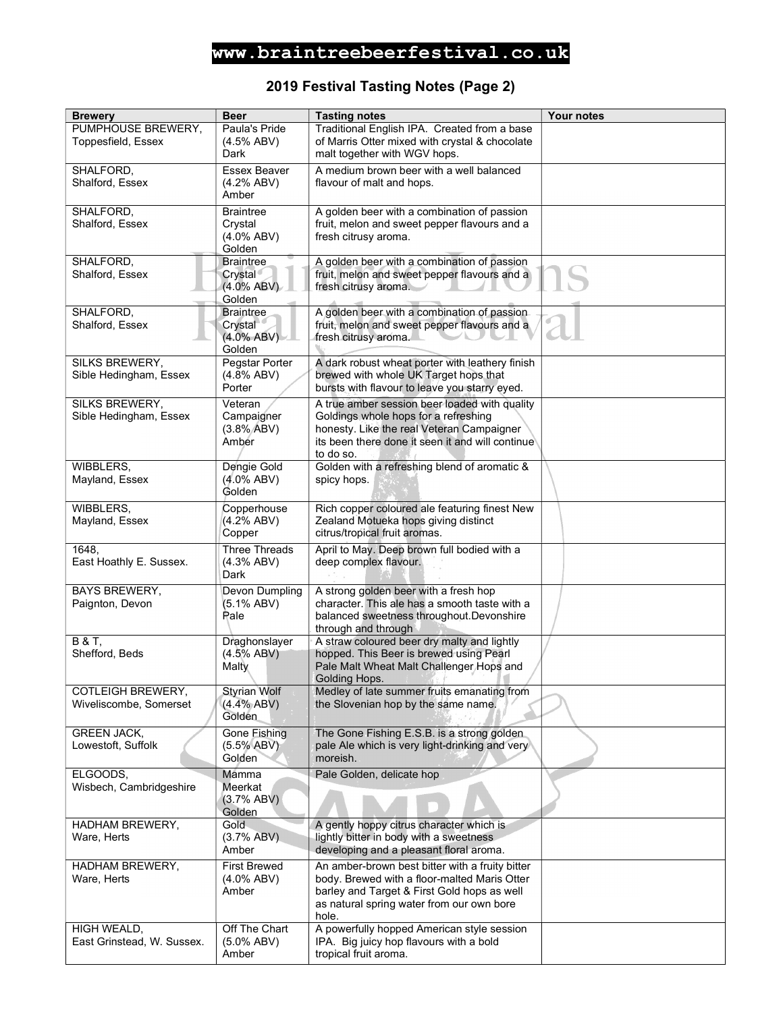### 2019 Festival Tasting Notes (Page 2)

| <b>Brewery</b>                                     | <b>Beer</b>                                            | <b>Tasting notes</b>                                                                                                                                                                                 | <b>Your notes</b> |
|----------------------------------------------------|--------------------------------------------------------|------------------------------------------------------------------------------------------------------------------------------------------------------------------------------------------------------|-------------------|
| PUMPHOUSE BREWERY,<br>Toppesfield, Essex           | Paula's Pride<br>(4.5% ABV)<br>Dark                    | Traditional English IPA. Created from a base<br>of Marris Otter mixed with crystal & chocolate<br>malt together with WGV hops.                                                                       |                   |
| SHALFORD,<br>Shalford, Essex                       | Essex Beaver<br>(4.2% ABV)<br>Amber                    | A medium brown beer with a well balanced<br>flavour of malt and hops.                                                                                                                                |                   |
| SHALFORD,<br>Shalford, Essex                       | <b>Braintree</b><br>Crystal<br>$(4.0\%$ ABV)<br>Golden | A golden beer with a combination of passion<br>fruit, melon and sweet pepper flavours and a<br>fresh citrusy aroma.                                                                                  |                   |
| SHALFORD,<br>Shalford, Essex                       | <b>Braintree</b><br>Crystal<br>$(4.0\%$ ABV)<br>Golden | A golden beer with a combination of passion<br>fruit, melon and sweet pepper flavours and a<br>fresh citrusy aroma.                                                                                  |                   |
| SHALFORD,<br>Shalford, Essex                       | <b>Braintree</b><br>Crystal<br>$(4.0\%$ ABV)<br>Golden | A golden beer with a combination of passion<br>fruit, melon and sweet pepper flavours and a<br>fresh citrusy aroma.                                                                                  |                   |
| SILKS BREWERY,<br>Sible Hedingham, Essex           | Pegstar Porter<br>(4.8% ABV)<br>Porter                 | A dark robust wheat porter with leathery finish<br>brewed with whole UK Target hops that<br>bursts with flavour to leave you starry eyed.                                                            |                   |
| SILKS BREWERY,<br>Sible Hedingham, Essex           | Veteran<br>Campaigner<br>(3.8% ABV)<br>Amber           | A true amber session beer loaded with quality<br>Goldings whole hops for a refreshing<br>honesty. Like the real Veteran Campaigner<br>its been there done it seen it and will continue<br>to do so.  |                   |
| WIBBLERS,<br>Mayland, Essex                        | Dengie Gold<br>$(4.0\%$ ABV)<br>Golden                 | Golden with a refreshing blend of aromatic &<br>spicy hops.                                                                                                                                          |                   |
| WIBBLERS,<br>Mayland, Essex                        | Copperhouse<br>(4.2% ABV)<br>Copper                    | Rich copper coloured ale featuring finest New<br>Zealand Motueka hops giving distinct<br>citrus/tropical fruit aromas.                                                                               |                   |
| 1648,<br>East Hoathly E. Sussex.                   | <b>Three Threads</b><br>(4.3% ABV)<br>Dark             | April to May. Deep brown full bodied with a<br>deep complex flavour.                                                                                                                                 |                   |
| <b>BAYS BREWERY,</b><br>Paignton, Devon            | Devon Dumpling<br>(5.1% ABV)<br>Pale                   | A strong golden beer with a fresh hop<br>character. This ale has a smooth taste with a<br>balanced sweetness throughout. Devonshire<br>through and through                                           |                   |
| <b>B&amp;T,</b><br>Shefford, Beds                  | Draghonslayer<br>(4.5% ABV)<br>Malty                   | A straw coloured beer dry malty and lightly<br>hopped. This Beer is brewed using Pearl<br>Pale Malt Wheat Malt Challenger Hops and<br>Golding Hops.                                                  |                   |
| <b>COTLEIGH BREWERY,</b><br>Wiveliscombe, Somerset | <b>Styrian Wolf</b><br>(4.4% ABV)<br>Golden            | Medley of late summer fruits emanating from<br>the Slovenian hop by the same name.                                                                                                                   |                   |
| <b>GREEN JACK,</b><br>Lowestoft, Suffolk           | Gone Fishing<br>$(5.5\% ABV)$<br>Golden                | The Gone Fishing E.S.B. is a strong golden<br>pale Ale which is very light-drinking and very<br>moreish.                                                                                             |                   |
| ELGOODS,<br>Wisbech, Cambridgeshire                | Mamma<br>Meerkat<br>(3.7% ABV)<br>Golden               | Pale Golden, delicate hop                                                                                                                                                                            |                   |
| HADHAM BREWERY,<br>Ware, Herts                     | Gold<br>(3.7% ABV)<br>Amber                            | A gently hoppy citrus character which is<br>lightly bitter in body with a sweetness<br>developing and a pleasant floral aroma.                                                                       |                   |
| HADHAM BREWERY,<br>Ware, Herts                     | <b>First Brewed</b><br>$(4.0\%$ ABV)<br>Amber          | An amber-brown best bitter with a fruity bitter<br>body. Brewed with a floor-malted Maris Otter<br>barley and Target & First Gold hops as well<br>as natural spring water from our own bore<br>hole. |                   |
| HIGH WEALD,<br>East Grinstead, W. Sussex.          | Off The Chart<br>$(5.0\%$ ABV)<br>Amber                | A powerfully hopped American style session<br>IPA. Big juicy hop flavours with a bold<br>tropical fruit aroma.                                                                                       |                   |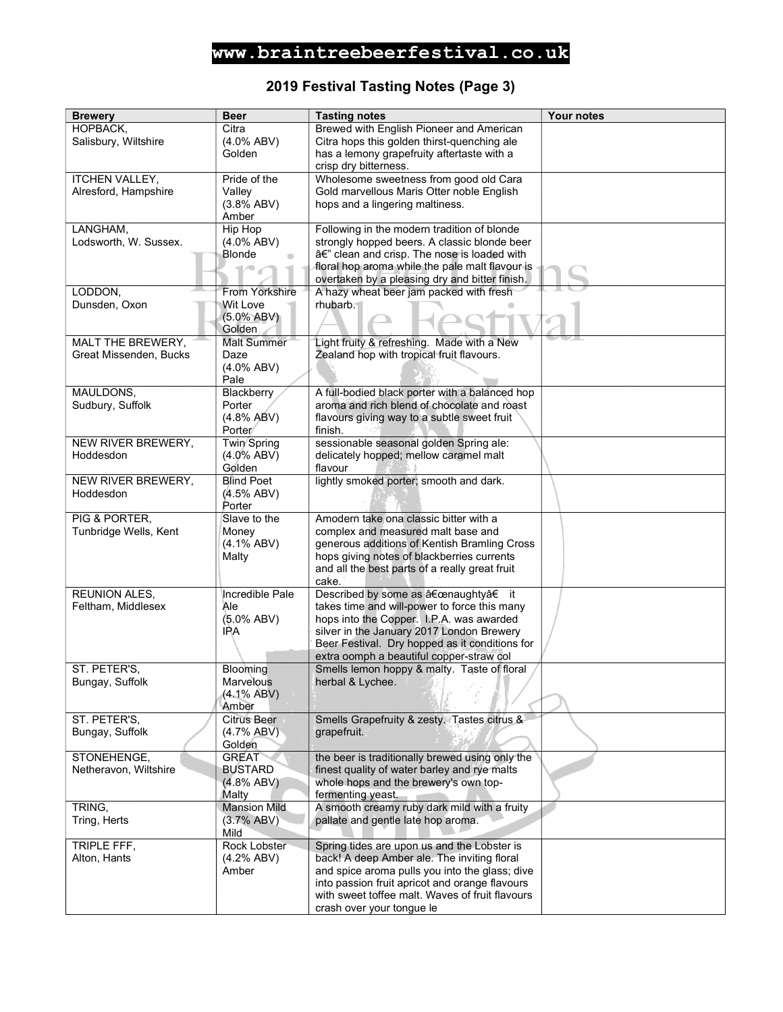### 2019 Festival Tasting Notes (Page 3)

| <b>Brewery</b>                  | <b>Beer</b>             | <b>Tasting notes</b>                                                                       | Your notes |
|---------------------------------|-------------------------|--------------------------------------------------------------------------------------------|------------|
| HOPBACK,                        | Citra                   | Brewed with English Pioneer and American                                                   |            |
| Salisbury, Wiltshire            | $(4.0\%$ ABV)           | Citra hops this golden thirst-quenching ale                                                |            |
|                                 | Golden                  | has a lemony grapefruity aftertaste with a                                                 |            |
|                                 |                         | crisp dry bitterness.                                                                      |            |
| <b>ITCHEN VALLEY,</b>           | Pride of the            | Wholesome sweetness from good old Cara                                                     |            |
| Alresford, Hampshire            | Valley                  | Gold marvellous Maris Otter noble English                                                  |            |
|                                 | (3.8% ABV)              | hops and a lingering maltiness.                                                            |            |
|                                 | Amber                   |                                                                                            |            |
| LANGHAM,                        | Hip Hop                 | Following in the modern tradition of blonde                                                |            |
| Lodsworth, W. Sussex.           | $(4.0\%$ ABV)           | strongly hopped beers. A classic blonde beer                                               |            |
|                                 | Blonde                  | â€" clean and crisp. The nose is loaded with                                               |            |
|                                 |                         | floral hop aroma while the pale malt flavour is                                            |            |
|                                 |                         | overtaken by a pleasing dry and bitter finish.                                             |            |
| LODDON,                         | From Yorkshire          | A hazy wheat beer jam packed with fresh                                                    |            |
| Dunsden, Oxon                   | Wit Love                | rhubarb.                                                                                   |            |
|                                 | $(5.0\% ABV)$           |                                                                                            |            |
|                                 | Golden                  |                                                                                            |            |
| MALT THE BREWERY,               | <b>Malt Summer</b>      | Light fruity & refreshing. Made with a New                                                 |            |
| Great Missenden, Bucks          | Daze                    | Zealand hop with tropical fruit flavours.                                                  |            |
|                                 | (4.0% ABV)              |                                                                                            |            |
|                                 | Pale                    |                                                                                            |            |
| MAULDONS,                       | Blackberry              | A full-bodied black porter with a balanced hop                                             |            |
| Sudbury, Suffolk                | Porter                  | aroma and rich blend of chocolate and roast                                                |            |
|                                 | (4.8% ABV)<br>Porter    | flavours giving way to a subtle sweet fruit                                                |            |
|                                 |                         | finish.<br>sessionable seasonal golden Spring ale:                                         |            |
| NEW RIVER BREWERY,<br>Hoddesdon | Twin Spring             |                                                                                            |            |
|                                 | $(4.0\%$ ABV)<br>Golden | delicately hopped; mellow caramel malt<br>flavour                                          |            |
| NEW RIVER BREWERY,              | <b>Blind Poet</b>       | lightly smoked porter; smooth and dark.                                                    |            |
| Hoddesdon                       | (4.5% ABV)              |                                                                                            |            |
|                                 | Porter                  |                                                                                            |            |
| PIG & PORTER,                   | Slave to the            | Amodern take ona classic bitter with a                                                     |            |
| Tunbridge Wells, Kent           | Money                   | complex and measured malt base and                                                         |            |
|                                 | $(4.1\%$ ABV)           | generous additions of Kentish Bramling Cross                                               |            |
|                                 | Malty                   | hops giving notes of blackberries currents                                                 |            |
|                                 |                         | and all the best parts of a really great fruit                                             |            |
|                                 |                         | cake.                                                                                      |            |
| <b>REUNION ALES,</b>            | Incredible Pale         | Described by some as "naughty†it                                                           |            |
| Feltham, Middlesex              | Ale                     | takes time and will-power to force this many                                               |            |
|                                 | (5.0% ABV)              | hops into the Copper. I.P.A. was awarded                                                   |            |
|                                 | IPA                     | silver in the January 2017 London Brewery                                                  |            |
|                                 |                         | Beer Festival. Dry hopped as it conditions for                                             |            |
|                                 |                         | extra oomph a beautiful copper-straw col                                                   |            |
| ST. PETER'S,                    | Blooming                | Smells lemon hoppy & malty. Taste of floral                                                |            |
| Bungay, Suffolk                 | Marvelous               | herbal & Lychee.                                                                           |            |
|                                 | $(4.1\%$ ABV)           |                                                                                            |            |
|                                 | Amber                   |                                                                                            |            |
| ST. PETER'S,                    | <b>Citrus Beer</b>      | Smells Grapefruity & zesty. Tastes citrus &                                                |            |
| Bungay, Suffolk                 | (4.7% ABV)              | grapefruit.                                                                                |            |
|                                 | Golden                  |                                                                                            |            |
| STONEHENGE.                     | <b>GREAT</b>            | the beer is traditionally brewed using only the                                            |            |
| Netheravon, Wiltshire           | <b>BUSTARD</b>          | finest quality of water barley and rye malts                                               |            |
|                                 | (4.8% ABV)              | whole hops and the brewery's own top-                                                      |            |
|                                 | <b>Malty</b>            | fermenting yeast.                                                                          |            |
| TRING,                          | <b>Mansion Mild</b>     | A smooth creamy ruby dark mild with a fruity                                               |            |
| Tring, Herts                    | (3.7% ABV)              | pallate and gentle late hop aroma.                                                         |            |
|                                 | Mild<br>Rock Lobster    |                                                                                            |            |
| TRIPLE FFF,<br>Alton, Hants     | (4.2% ABV)              | Spring tides are upon us and the Lobster is<br>back! A deep Amber ale. The inviting floral |            |
|                                 | Amber                   | and spice aroma pulls you into the glass; dive                                             |            |
|                                 |                         | into passion fruit apricot and orange flavours                                             |            |
|                                 |                         | with sweet toffee malt. Waves of fruit flavours                                            |            |
|                                 |                         | crash over your tongue le                                                                  |            |
|                                 |                         |                                                                                            |            |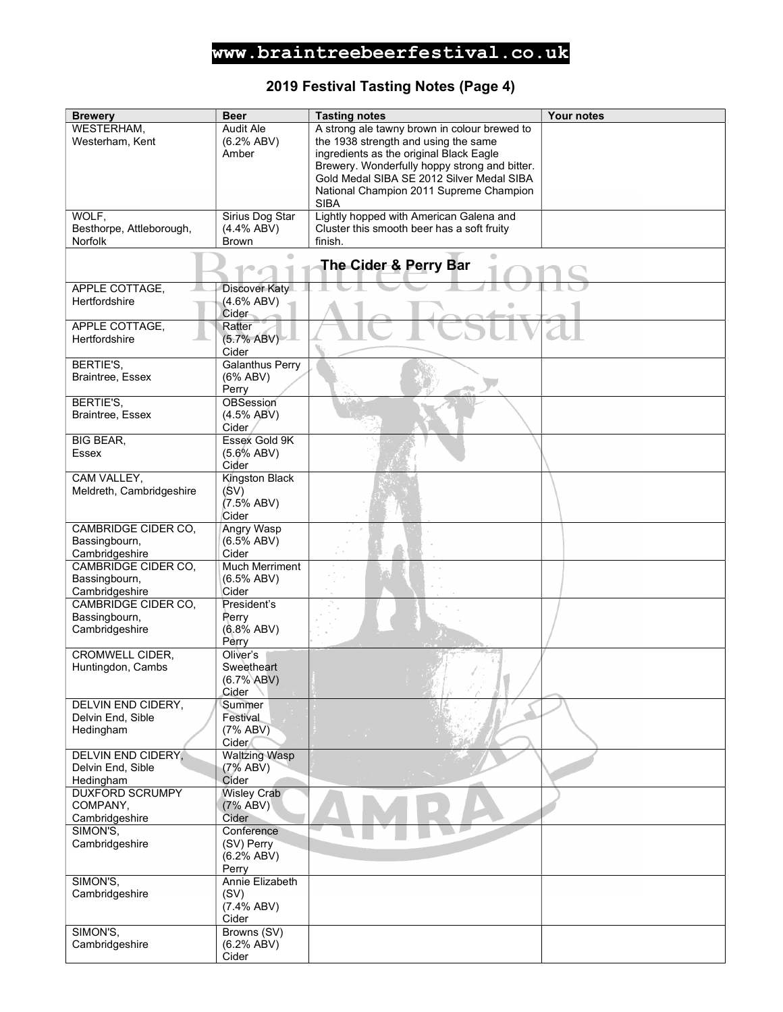### 2019 Festival Tasting Notes (Page 4)

| <b>Brewery</b>                 | <b>Beer</b>            | <b>Tasting notes</b>                          | Your notes |
|--------------------------------|------------------------|-----------------------------------------------|------------|
| WESTERHAM,                     | Audit Ale              | A strong ale tawny brown in colour brewed to  |            |
| Westerham, Kent                | (6.2% ABV)             | the 1938 strength and using the same          |            |
|                                | Amber                  | ingredients as the original Black Eagle       |            |
|                                |                        | Brewery. Wonderfully hoppy strong and bitter. |            |
|                                |                        | Gold Medal SIBA SE 2012 Silver Medal SIBA     |            |
|                                |                        | National Champion 2011 Supreme Champion       |            |
|                                |                        | <b>SIBA</b>                                   |            |
| WOLF,                          | Sirius Dog Star        | Lightly hopped with American Galena and       |            |
| Besthorpe, Attleborough,       | $(4.4\%$ ABV)          | Cluster this smooth beer has a soft fruity    |            |
| Norfolk                        | <b>Brown</b>           | finish.                                       |            |
|                                |                        |                                               |            |
|                                |                        | The Cider & Perry Bar                         |            |
|                                |                        |                                               |            |
| APPLE COTTAGE,                 | <b>Discover Katy</b>   |                                               |            |
| Hertfordshire                  | $(4.6\%$ ABV)          |                                               |            |
|                                | Cider                  |                                               |            |
| APPLE COTTAGE,                 | Ratter                 |                                               |            |
| Hertfordshire                  | (5.7% ABV)             |                                               |            |
|                                | Cider                  |                                               |            |
| BERTIE'S,                      | <b>Galanthus Perry</b> |                                               |            |
| Braintree, Essex               | $(6\%$ ABV)            |                                               |            |
|                                | Perry                  |                                               |            |
| BERTIE'S,                      | OBSession              |                                               |            |
| Braintree, Essex               | (4.5% ABV)<br>Cider    |                                               |            |
| <b>BIG BEAR,</b>               | Essex Gold 9K          |                                               |            |
| <b>Essex</b>                   | $(5.6\%$ ABV)          |                                               |            |
|                                | Cider                  |                                               |            |
| CAM VALLEY,                    | Kingston Black         |                                               |            |
| Meldreth, Cambridgeshire       | (SV)                   |                                               |            |
|                                | $(7.5\%$ ABV)          |                                               |            |
|                                | Cider                  |                                               |            |
| CAMBRIDGE CIDER CO,            | <b>Angry Wasp</b>      |                                               |            |
| Bassingbourn,                  | $(6.5\%$ ABV)          |                                               |            |
| Cambridgeshire                 | Cider                  |                                               |            |
| CAMBRIDGE CIDER CO,            | <b>Much Merriment</b>  |                                               |            |
| Bassingbourn,                  | (6.5% ABV)             |                                               |            |
| Cambridgeshire                 | Cider                  |                                               |            |
| CAMBRIDGE CIDER CO.            | President's            |                                               |            |
| Bassingbourn,                  | Perry                  |                                               |            |
| Cambridgeshire                 | $(6.8\%$ ABV)          |                                               |            |
|                                | Perry                  |                                               |            |
| <b>CROMWELL CIDER,</b>         | Oliver's               |                                               |            |
| Huntingdon, Cambs              | Sweetheart             |                                               |            |
|                                | (6.7% ABV)             |                                               |            |
|                                | Cider                  |                                               |            |
| DELVIN END CIDERY,             | Summer                 |                                               |            |
| Delvin End, Sible<br>Hedingham | Festival<br>(7% ABV)   |                                               |            |
|                                | Cider                  |                                               |            |
| <b>DELVIN END CIDERY,</b>      | <b>Waltzing Wasp</b>   |                                               |            |
| Delvin End, Sible              | (7% ABV)               |                                               |            |
| Hedingham                      | Cider                  |                                               |            |
| <b>DUXFORD SCRUMPY</b>         | <b>Wisley Crab</b>     |                                               |            |
| COMPANY,                       | (7% ABV)               |                                               |            |
| Cambridgeshire                 | Cider                  |                                               |            |
| SIMON'S,                       | Conference             |                                               |            |
| Cambridgeshire                 | (SV) Perry             |                                               |            |
|                                | (6.2% ABV)             |                                               |            |
|                                | Perry                  |                                               |            |
| SIMON'S,                       | Annie Elizabeth        |                                               |            |
| Cambridgeshire                 | (SV)                   |                                               |            |
|                                | $(7.4\%$ ABV)          |                                               |            |
|                                | Cider                  |                                               |            |
| SIMON'S,                       | Browns (SV)            |                                               |            |
| Cambridgeshire                 | (6.2% ABV)             |                                               |            |
|                                | Cider                  |                                               |            |